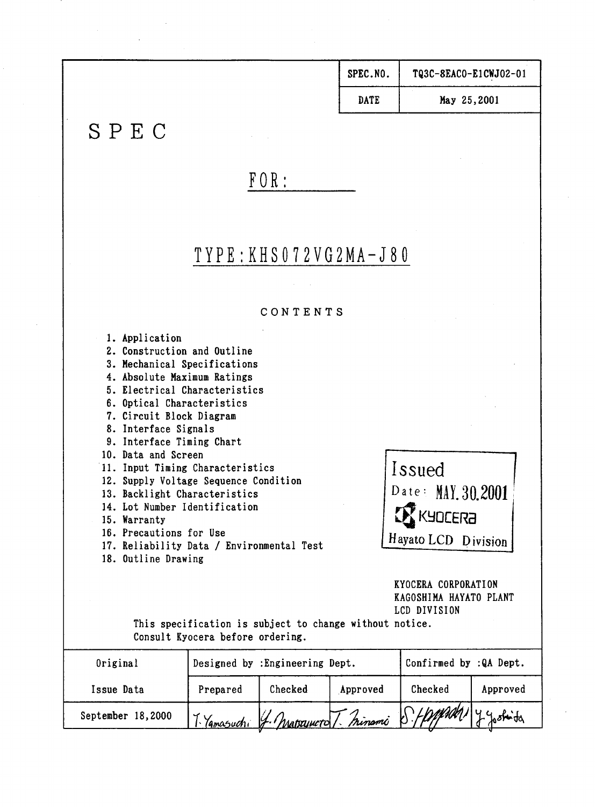| SPEC.NO.    | TQ3C-8EACO-E1CWJ02-01 |
|-------------|-----------------------|
| <b>DATE</b> | May 25,2001           |

# SPEC

# $FOR:$

# $TYP E : KH S 0 7 2 V G 2 MA-J 8 0$

#### CONTENTS

1. Application 2. Construction and Outline 3. Mechanical Specifications 4. Absolute Maximum Ratings 5. Electrical Characteristics 6. Optical Characteristics 7. Circuit Block Diagram 8. Interface Signals 9. Interface Timing Chart 10. Data and Screen Issued 11. Input Timing Characteristics 12. Supply Voltage Sequence Condition Date: MAY. 30.2001 13. Backlight Characteristics 14. Lot Number Identification  $\mathbf Z$  KYDCERA 15. Warranty 16. Precautions for Use Hayato LCD Division 17. Reliability Data / Environmental Test 18. Outline Drawing KYOCERA CORPORATION KAGOSHIMA HAYATO PLANT LCD DIVISION This specification is subject to change without notice. Consult Kyocera before ordering. ┯

| Original          |           | Designed by : Engineering Dept. |          | Confirmed by :QA Dept.                          |          |  |  |
|-------------------|-----------|---------------------------------|----------|-------------------------------------------------|----------|--|--|
| Issue Data        | Prepared  | Checked                         | Approved | Checked                                         | Approved |  |  |
| September 18,2000 | lamasudri |                                 |          | 4. Macquiero T. minami S. Happedal 1 7 Joshinta |          |  |  |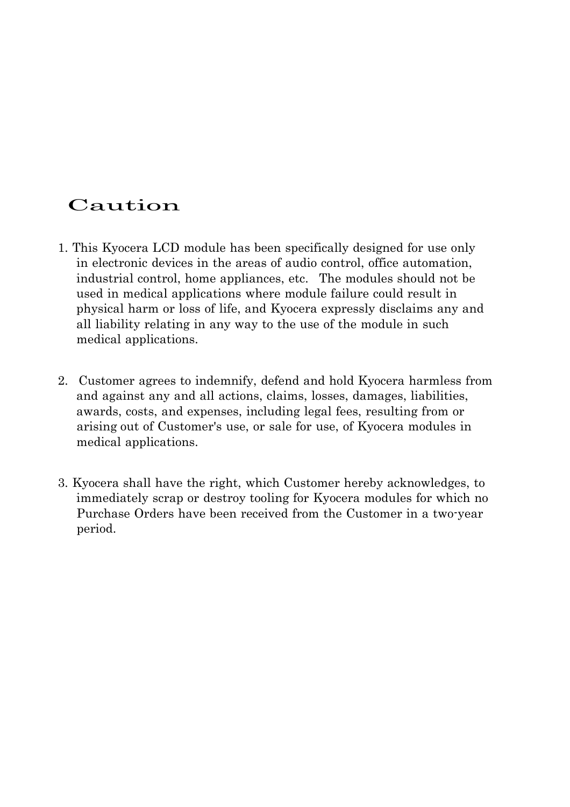# Caution

- 1. This Kyocera LCD module has been specifically designed for use only in electronic devices in the areas of audio control, office automation, industrial control, home appliances, etc. The modules should not be used in medical applications where module failure could result in physical harm or loss of life, and Kyocera expressly disclaims any and all liability relating in any way to the use of the module in such medical applications.
- 2. Customer agrees to indemnify, defend and hold Kyocera harmless from and against any and all actions, claims, losses, damages, liabilities, awards, costs, and expenses, including legal fees, resulting from or arising out of Customer's use, or sale for use, of Kyocera modules in medical applications.
- 3. Kyocera shall have the right, which Customer hereby acknowledges, to immediately scrap or destroy tooling for Kyocera modules for which no Purchase Orders have been received from the Customer in a two-year period.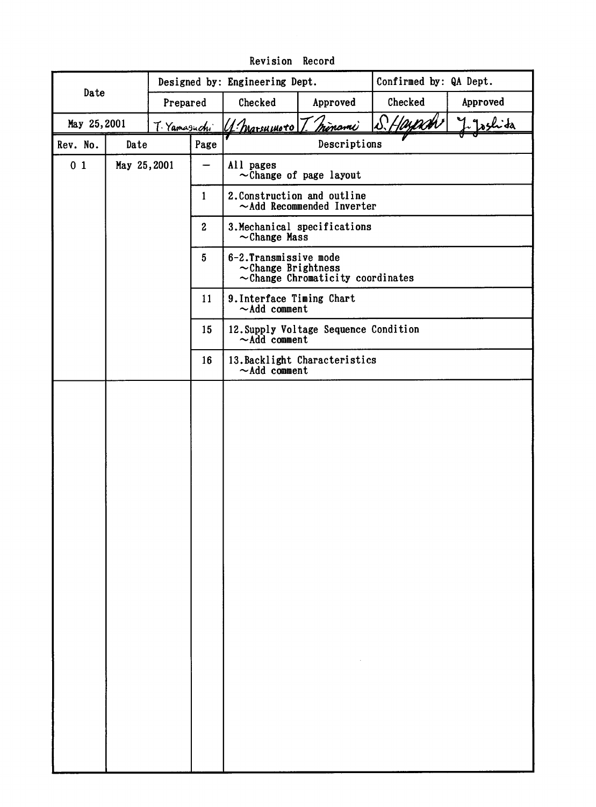|                |             |              |                  | Confirmed by: QA Dept.<br>Designed by: Engineering Dept.                                     |                                       |         |          |  |  |
|----------------|-------------|--------------|------------------|----------------------------------------------------------------------------------------------|---------------------------------------|---------|----------|--|--|
| Date           | Prepared    |              |                  | Checked                                                                                      | Approved                              | Checked | Approved |  |  |
| May 25,2001    |             | T. Yamasuchi |                  | S.Hayach<br><u>Irinomi</u><br>U. marsumoto                                                   |                                       |         |          |  |  |
| Rev. No.       | Date        |              | Page             | Descriptions                                                                                 |                                       |         |          |  |  |
| 0 <sub>1</sub> | May 25,2001 |              |                  | All pages                                                                                    | $\sim$ Change of page layout          |         |          |  |  |
|                |             |              | $\mathbf{1}$     | 2. Construction and outline<br>$\sim$ Add Recommended Inverter                               |                                       |         |          |  |  |
|                |             |              | $\boldsymbol{2}$ | 3. Mechanical specifications<br>$\sim$ Change Mass                                           |                                       |         |          |  |  |
|                |             |              | 5 <sup>5</sup>   | 6-2. Transmissive mode<br>$\sim$ Change Brightness<br>$\sim$ Change Chromaticity coordinates |                                       |         |          |  |  |
|                |             |              | 11               | 9. Interface Timing Chart<br>$\sim$ Add comment                                              |                                       |         |          |  |  |
|                |             |              | 15               | $\sim$ Add comment                                                                           | 12. Supply Voltage Sequence Condition |         |          |  |  |
|                |             |              | 16               | 13. Backlight Characteristics<br>$\sim$ Add comment                                          |                                       |         |          |  |  |
|                |             |              |                  |                                                                                              |                                       |         |          |  |  |
|                |             |              |                  |                                                                                              |                                       |         |          |  |  |
|                |             |              |                  |                                                                                              |                                       |         |          |  |  |
|                |             |              |                  |                                                                                              |                                       |         |          |  |  |
|                |             |              |                  |                                                                                              |                                       |         |          |  |  |
|                |             |              |                  |                                                                                              |                                       |         |          |  |  |
|                |             |              |                  |                                                                                              |                                       |         |          |  |  |
|                |             |              |                  |                                                                                              |                                       |         |          |  |  |
|                |             |              |                  |                                                                                              |                                       |         |          |  |  |
|                |             |              |                  |                                                                                              |                                       |         |          |  |  |
|                |             |              |                  |                                                                                              |                                       |         |          |  |  |
|                |             |              |                  |                                                                                              |                                       |         |          |  |  |
|                |             |              |                  |                                                                                              |                                       |         |          |  |  |
|                |             |              |                  |                                                                                              |                                       |         |          |  |  |
|                |             |              |                  |                                                                                              |                                       |         |          |  |  |
|                |             |              |                  |                                                                                              |                                       |         |          |  |  |
|                |             |              |                  |                                                                                              |                                       |         |          |  |  |
|                |             |              |                  |                                                                                              |                                       |         |          |  |  |

Revision Record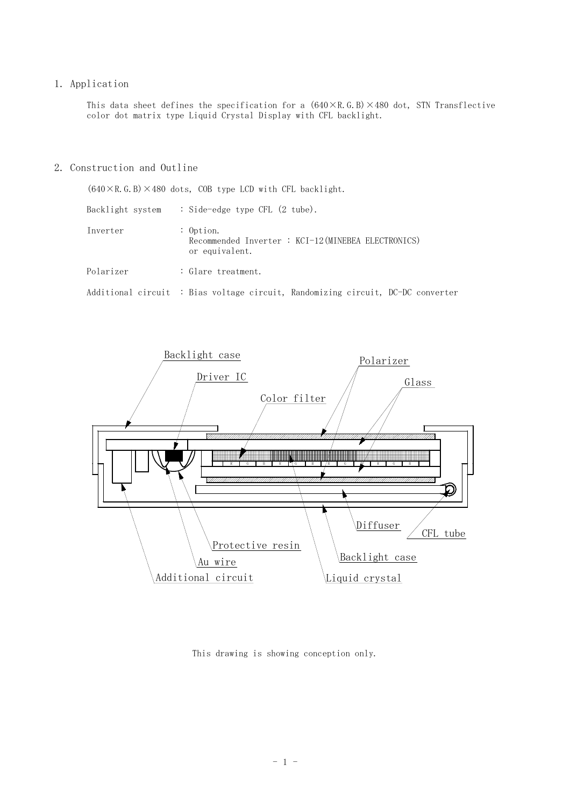#### 1. Application

This data sheet defines the specification for a  $(640\times R.G.B)\times480$  dot, STN Transflective color dot matrix type Liquid Crystal Display with CFL backlight.

#### 2. Construction and Outline

|                  | $(640 \times R. G. B) \times 480$ dots, COB type LCD with CFL backlight.              |
|------------------|---------------------------------------------------------------------------------------|
| Backlight system | : Side-edge type CFL $(2 \text{ tube})$ .                                             |
| Inverter         | : $0$ ption.<br>Recommended Inverter : KCI-12 (MINEBEA ELECTRONICS)<br>or equivalent. |
| Polarizer        | : Glare treatment.                                                                    |
|                  | Additional circuit : Bias voltage circuit, Randomizing circuit, DC-DC converter       |



This drawing is showing conception only.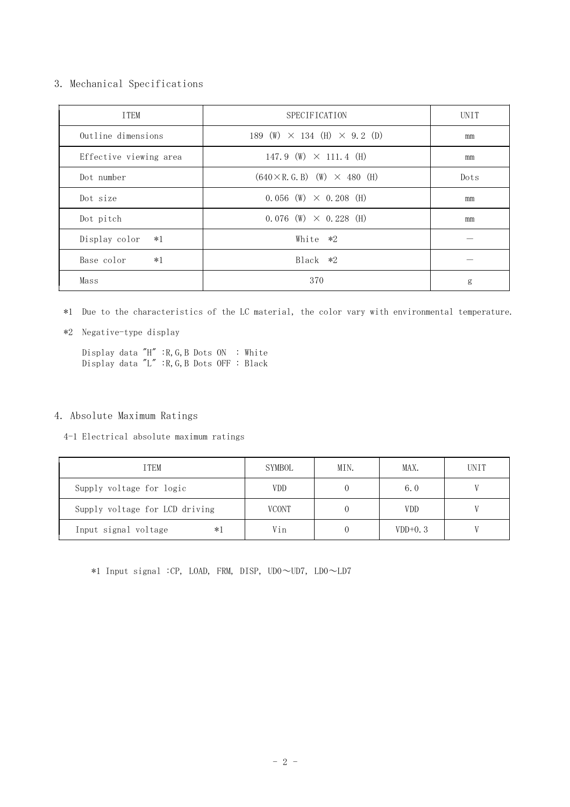#### 3. Mechanical Specifications

| <b>TTEM</b>            | <b>SPECIFICATION</b>                         | <b>UNTT</b> |
|------------------------|----------------------------------------------|-------------|
| Outline dimensions     | 189 (W) $\times$ 134 (H) $\times$ 9.2 (D)    | mm          |
| Effective viewing area | 147.9 (W) $\times$ 111.4 (H)                 | mm          |
| Dot number             | $(640 \times R$ , G, B) $(W) \times 480$ (H) | Dots        |
| Dot size               | $0.056$ (W) $\times$ 0.208 (H)               | mm          |
| Dot pitch              | $0.076$ (W) $\times$ 0.228 (H)               | mm          |
| Display color<br>$*1$  | White $*2$                                   |             |
| Base color<br>$*1$     | $Black *2$                                   |             |
| Mass                   | 370                                          | g           |

\*1 Due to the characteristics of the LC material, the color vary with environmental temperature.

\*2 Negative-type display

Display data "H" :R,G,B Dots ON : White Display data "L" :R,G,B Dots OFF : Black

### 4. Absolute Maximum Ratings

4-1 Electrical absolute maximum ratings

| <b>TTEM</b>                    | SYMBOL       | MIN. | MAX.       | <b>UNIT</b> |
|--------------------------------|--------------|------|------------|-------------|
| Supply voltage for logic       | <b>VDD</b>   |      | 6.0        |             |
| Supply voltage for LCD driving | <b>VCONT</b> |      | <b>VDD</b> |             |
| Input signal voltage<br>$*1$   | Vin          |      | $VDD+0.3$  |             |

\*1 Input signal :CP, LOAD, FRM, DISP, UD0∼UD7, LD0∼LD7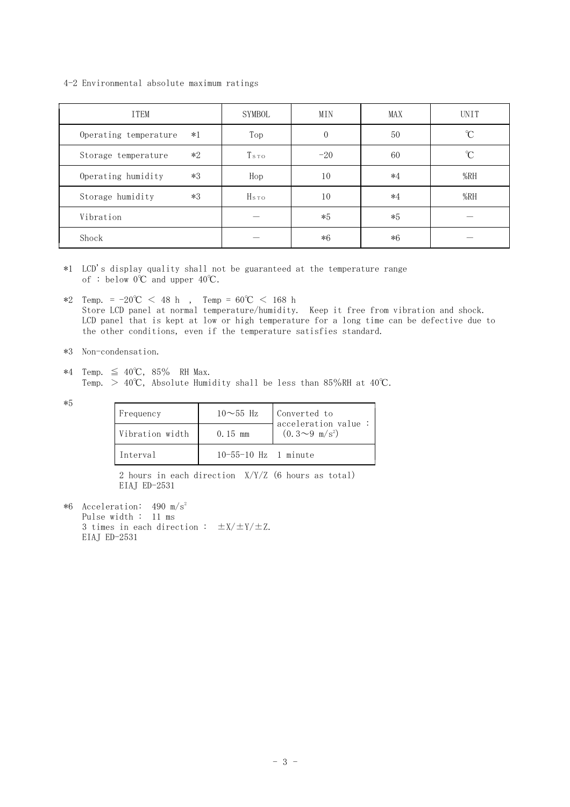4-2 Environmental absolute maximum ratings

| <b>ITEM</b>                   | SYMBOL           | MIN      | <b>MAX</b> | <b>UNIT</b>   |
|-------------------------------|------------------|----------|------------|---------------|
| $*1$<br>Operating temperature | Top              | $\theta$ | 50         | °C            |
| $*2$<br>Storage temperature   | T <sub>sto</sub> | $-20$    | 60         | $\mathcal{C}$ |
| $*3$<br>Operating humidity    | Hop              | 10       | $*4$       | %RH           |
| $*3$<br>Storage humidity      | H <sub>sto</sub> | 10       | $*4$       | %RH           |
| Vibration                     |                  | $*5$     | $*5$       |               |
| Shock                         |                  | $*6$     | $*6$       |               |

\*1 LCD's display quality shall not be guaranteed at the temperature range of : below  $0^{\circ}C$  and upper  $40^{\circ}C$ .

 $*2$  Temp. =  $-20^{\circ}\text{C}$  < 48 h, Temp =  $60^{\circ}\text{C}$  < 168 h Store LCD panel at normal temperature/humidity. Keep it free from vibration and shock. LCD panel that is kept at low or high temperature for a long time can be defective due to the other conditions, even if the temperature satisfies standard.

\*3 Non-condensation.

 $*4$  Temp.  $\leq 40^{\circ}$ C, 85% RH Max. Temp.  $> 40^{\circ}$ C, Absolute Humidity shall be less than 85%RH at 40°C.

\*5

| Frequency       | $10\sim55$ Hz              | Converted to<br>$\alpha$ acceleration value: |
|-----------------|----------------------------|----------------------------------------------|
| Vibration width | $0.15$ mm                  | $(0.3 \sim 9 \text{ m/s}^2)$                 |
| Interval        | $10 - 55 - 10$ Hz 1 minute |                                              |

2 hours in each direction X/Y/Z (6 hours as total) EIAJ ED-2531

 $*6$  Acceleration: 490 m/s<sup>2</sup> Pulse width : 11 ms 3 times in each direction :  $\pm X/\pm Y/\pm Z$ . EIAJ ED-2531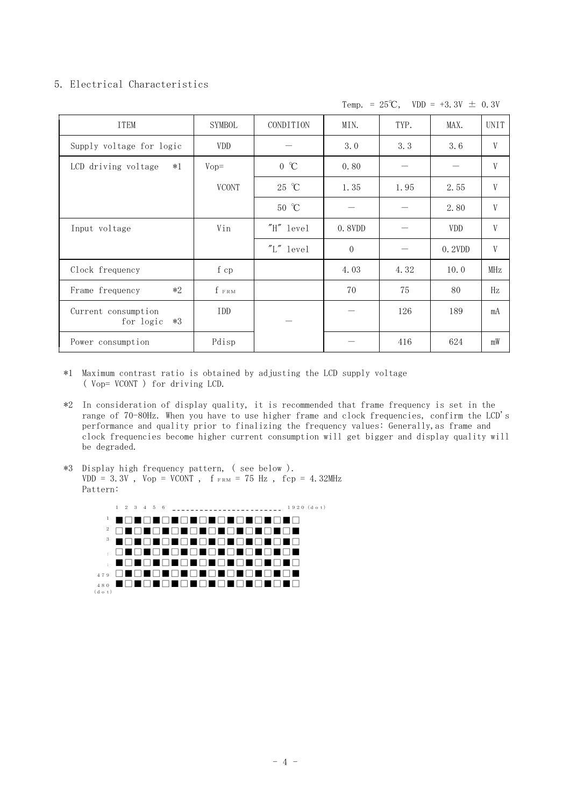## 5. Electrical Characteristics

Temp. =  $25^{\circ}\text{C}$ , VDD = +3.3V  $\pm$  0.3V

| <b>ITEM</b>                              | SYMBOL       | CONDITION      | MIN.     | TYP. | MAX.       | <b>UNIT</b> |
|------------------------------------------|--------------|----------------|----------|------|------------|-------------|
| Supply voltage for logic                 | <b>VDD</b>   |                | 3.0      | 3.3  | 3.6        | V           |
| LCD driving voltage<br>$*1$              | $Vop =$      | $0^{\circ}C$   | 0.80     |      |            | V           |
|                                          | <b>VCONT</b> | 25 °C          | 1.35     | 1.95 | 2.55       | V           |
|                                          |              | $50^{\circ}$ C |          |      | 2.80       | V           |
| Input voltage                            | Vin          | "H" level      | 0.8VDD   |      | <b>VDD</b> | V           |
|                                          |              | "L" level      | $\theta$ |      | 0.2VDD     | V           |
| Clock frequency                          | f cp         |                | 4.03     | 4.32 | 10.0       | MHz         |
| $*2$<br>Frame frequency                  | $f$ $FRM$    |                | 70       | 75   | 80         | Hz          |
| Current consumption<br>$*3$<br>for logic | IDD          |                |          | 126  | 189        | mA          |
| Power consumption                        | Pdisp        |                |          | 416  | 624        | mW          |

- \*1 Maximum contrast ratio is obtained by adjusting the LCD supply voltage ( Vop= VCONT ) for driving LCD.
- \*2 In consideration of display quality, it is recommended that frame frequency is set in the range of 70-80Hz. When you have to use higher frame and clock frequencies, confirm the LCD's performance and quality prior to finalizing the frequency values: Generally,as frame and clock frequencies become higher current consumption will get bigger and display quality will be degraded.
- \*3 Display high frequency pattern, ( see below ).  $VDD = 3.3V$ ,  $Vop = VCONT$ ,  $f_{FRM} = 75 Hz$ ,  $fcp = 4.32 MHz$ Pattern:

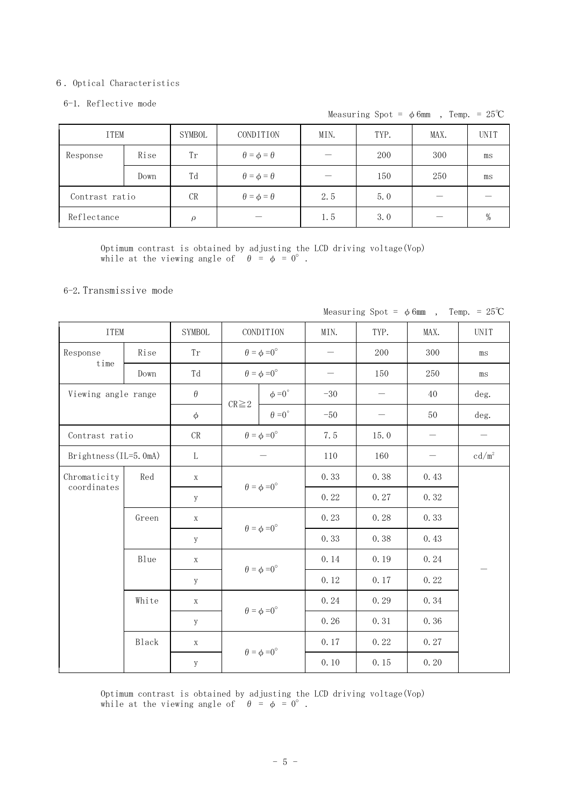#### 㧢㧚Optical Characteristics

#### 6-1. Reflective mode

Measuring Spot =  $\phi$ 6mm, Temp. = 25°C

| <b>ITEM</b>    |      | SYMBOL    | MIN.<br>TYP.<br>CONDITION |     |     | MAX. | <b>UNIT</b> |
|----------------|------|-----------|---------------------------|-----|-----|------|-------------|
| Response       | Rise | Tr        | $\theta = \phi = \theta$  |     | 200 | 300  | ms          |
|                | Down | Td        | $\theta = \phi = \theta$  |     | 150 | 250  | ms          |
| Contrast ratio |      | CR        | $\theta = \phi = \theta$  | 2.5 | 5.0 |      |             |
| Reflectance    |      | $\varrho$ |                           | 1.5 | 3.0 |      |             |

Optimum contrast is obtained by adjusting the LCD driving voltage(Vop) while at the viewing angle of  $\theta = \phi = 0^{\circ}$ .

### 6-2.Transmissive mode

| <b>ITEM</b>           |       | <b>SYMBOL</b> |                             | CONDITION                   | MIN.              | TYP.              | MAX. | <b>UNIT</b> |
|-----------------------|-------|---------------|-----------------------------|-----------------------------|-------------------|-------------------|------|-------------|
| Response              | Rise  | Tr            |                             | $\theta = \phi = 0^{\circ}$ | $\qquad \qquad -$ | 200               | 300  | ms          |
| time                  | Down  | Td            |                             | $\theta = \phi = 0^{\circ}$ |                   | 150               | 250  | $\rm ms$    |
| Viewing angle range   |       | $\theta$      |                             | $\phi = 0^{\circ}$          | $-30$             | $\qquad \qquad -$ | 40   | deg.        |
|                       |       | $\phi$        | $CR \geq 2$                 | $\theta = 0^{\circ}$        | $-50$             |                   | 50   | deg.        |
| Contrast ratio        |       | $\mathrm{CR}$ |                             | $\theta = \phi = 0^{\circ}$ | 7.5               | 15.0              |      |             |
| Brightness (IL=5.0mA) |       | L             |                             |                             | 110               | 160               |      | $cd/m^2$    |
| Chromaticity          | Red   | $\mathbf X$   | $\theta = \phi = 0^{\circ}$ |                             | 0.33              | 0.38              | 0.43 |             |
| coordinates           |       | y             |                             |                             | 0.22              | 0.27              | 0.32 |             |
|                       | Green | $\mathbf X$   | $\theta = \phi = 0^{\circ}$ |                             | 0.23              | 0.28              | 0.33 |             |
|                       |       | y             |                             |                             | 0.33              | 0.38              | 0.43 |             |
|                       | Blue  | $\mathbf X$   | $\theta = \phi = 0^{\circ}$ |                             | 0.14              | 0.19              | 0.24 |             |
|                       |       | y             |                             |                             | 0.12              | 0.17              | 0.22 |             |
|                       | White | $\mathbf X$   |                             | $\theta = \phi = 0^{\circ}$ | 0.24              | 0.29              | 0.34 |             |
|                       |       | y             |                             |                             | 0.26              | 0.31              | 0.36 |             |
|                       | Black | $\mathbf X$   |                             | $\theta = \phi = 0^{\circ}$ | 0.17              | 0.22              | 0.27 |             |
|                       |       | y             |                             |                             | 0.10              | 0.15              | 0.20 |             |

Measuring Spot =  $\phi$ 6mm, Temp. = 25°C

Optimum contrast is obtained by adjusting the LCD driving voltage(Vop) while at the viewing angle of  $\theta = \phi = 0^{\circ}$ .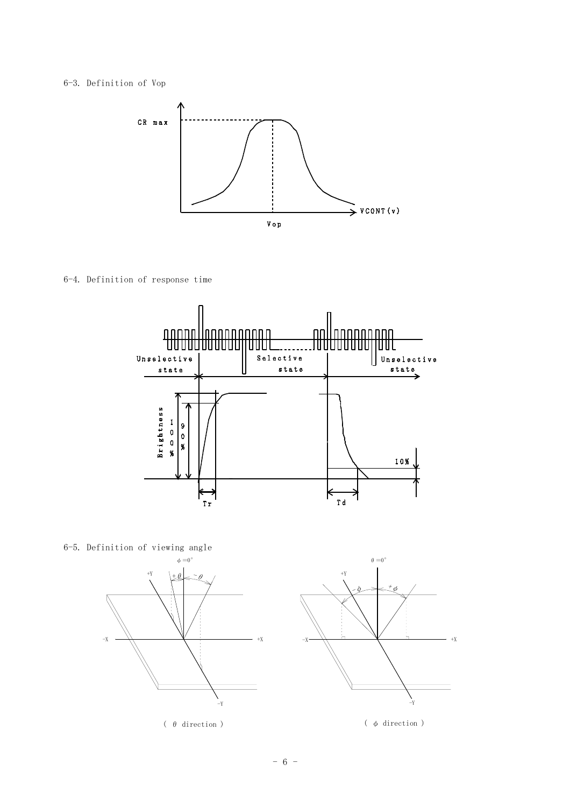## 6-3. Definition of Vop



6-4. Definition of response time



6-5. Definition of viewing angle



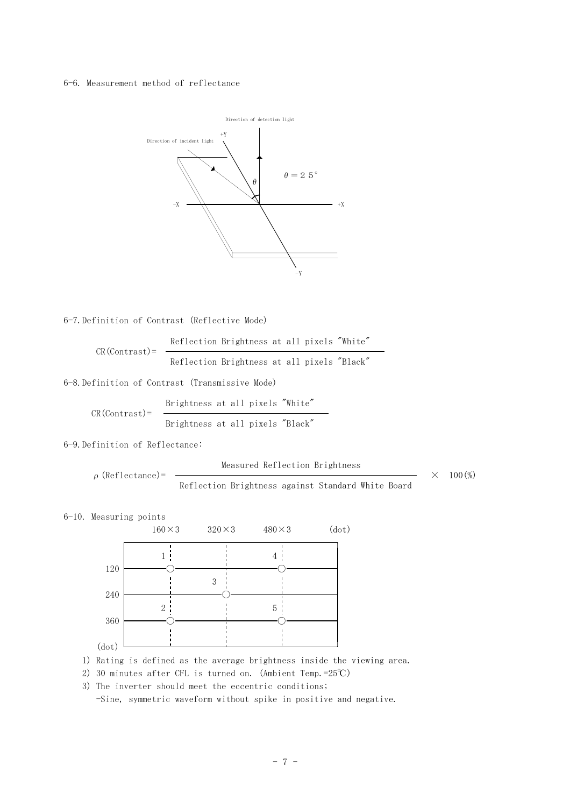#### 6-6. Measurement method of reflectance



6-7.Definition of Contrast (Reflective Mode)

$$
CR(Contrast) = \frac{Reflection~Brightness~at~all~pixels~"White"
$$
  
Referation~Brightness at all pixels "Black"

6-8.Definition of Contrast (Transmissive Mode)

$$
CR(Contrast) = \frac{Brightness at all pixels "White" +Brightness at all pixels "Black" +
$$

6-9.Definition of Reflectance:

Measured Reflection Brightness

 $\rho$  (Reflectance)=  $\longrightarrow \times 100\binom{0}{0}$ 

Reflection Brightness against Standard White Board

6-10. Measuring points



1) Rating is defined as the average brightness inside the viewing area.

2) 30 minutes after CFL is turned on. (Ambient Temp.=25°C)

3) The inverter should meet the eccentric conditions;

-Sine, symmetric waveform without spike in positive and negative.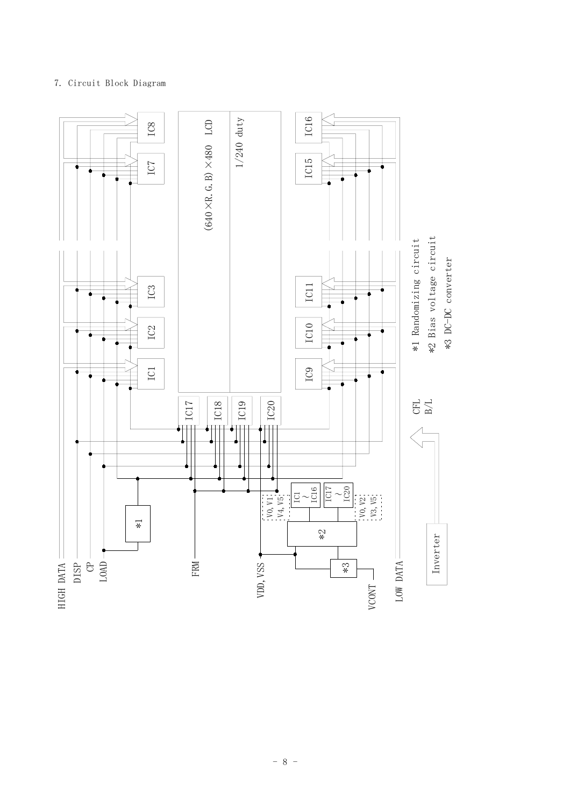## 7. Circuit Block Diagram

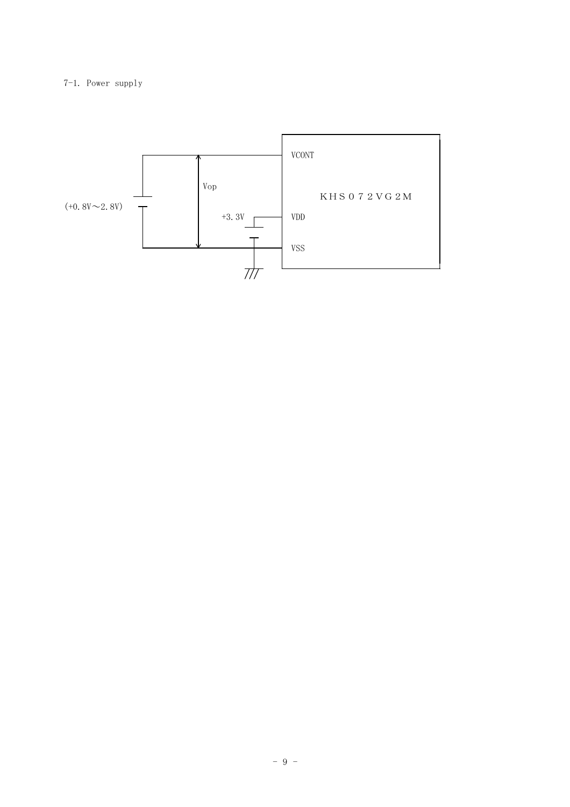## 7-1. Power supply

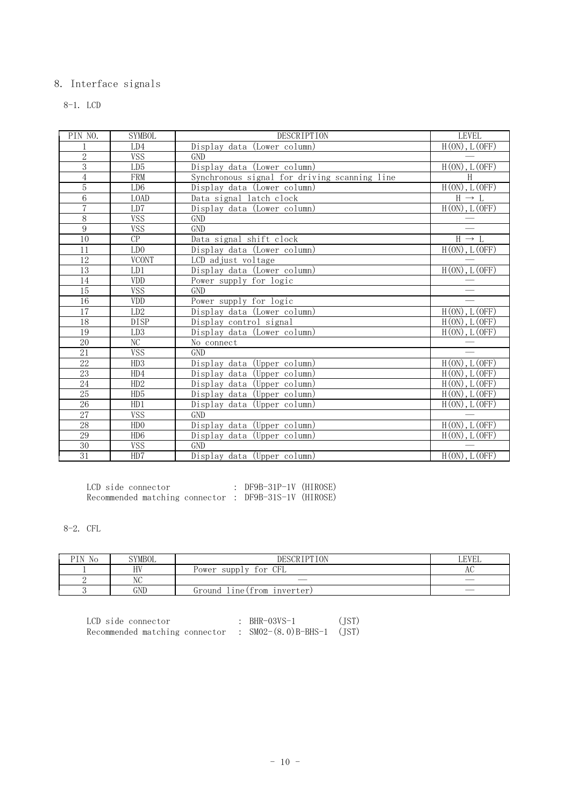## 8. Interface signals

8-1. LCD

| PIN NO.         | <b>SYMBOL</b>   | DESCRIPTION                                  | LEVEL                         |
|-----------------|-----------------|----------------------------------------------|-------------------------------|
|                 | LD4             | Display data (Lower column)                  | $H(0N)$ , $L(0FF)$            |
| $\overline{2}$  | <b>VSS</b>      | <b>GND</b>                                   |                               |
| 3               | LD <sub>5</sub> | Display data (Lower column)                  | H(0N), L(0FF)                 |
| $\overline{4}$  | <b>FRM</b>      | Synchronous signal for driving scanning line | H                             |
| $\overline{5}$  | LD <sub>6</sub> | Display data (Lower column)                  | H(0N), L(OFF)                 |
| $\overline{6}$  | <b>LOAD</b>     | Data signal latch clock                      | $H \rightarrow L$             |
| $\overline{7}$  | LD7             | Display data (Lower column)                  | H(0N), L(0FF)                 |
| $8\,$           | <b>VSS</b>      | GND                                          |                               |
| 9               | <b>VSS</b>      | <b>GND</b>                                   |                               |
| 10              | CP              | Data signal shift clock                      | $H \rightarrow L$             |
| $\overline{11}$ | LD0             | Display data (Lower column)                  | $H(0N)$ , $L(0FF)$            |
| $\overline{12}$ | <b>VCONT</b>    | LCD adjust voltage                           |                               |
| 13              | LD1             | Display data (Lower column)                  | H(0N), L(0FF)                 |
| $\overline{14}$ | VDD             | Power supply for logic                       |                               |
| 15              | <b>VSS</b>      | GND                                          |                               |
| 16              | <b>VDD</b>      | Power supply for logic                       |                               |
| $\overline{17}$ | LD2             | Display data (Lower column)                  | $H(0N)$ , $L(OFF)$            |
| 18              | <b>DISP</b>     | Display control signal                       | $H(0N)$ , $L(0FF)$            |
| 19              | LD <sub>3</sub> | Display data (Lower column)                  | $\overline{H(0N)}$ , $L(OFF)$ |
| 20              | NC              | No connect                                   |                               |
| $\overline{21}$ | <b>VSS</b>      | GND                                          |                               |
| $\overline{22}$ | HD3             | Display data (Upper column)                  | $H(0N)$ , $L(0FF)$            |
| 23              | HD4             | Display data (Upper column)                  | $H(0N)$ , $L(0FF)$            |
| 24              | HD2             | Display data (Upper column)                  | $H(0N)$ , $L(OFF)$            |
| $\overline{25}$ | HD5             | Display data (Upper column)                  | H(0N), L(0FF)                 |
| $26\,$          | HD1             | Display data (Upper column)                  | $H(0N)$ , $L(0FF)$            |
| 27              | <b>VSS</b>      | <b>GND</b>                                   |                               |
| $\overline{28}$ | HDO             | Display data (Upper column)                  | $H(0N)$ , $L(0FF)$            |
| 29              | HD6             | Display data (Upper column)                  | $H(0N)$ , $L(0FF)$            |
| $\overline{30}$ | <b>VSS</b>      | $\operatorname{GND}$                         |                               |
| 31              | HD7             | Display data (Upper column)                  | $H(0N)$ , $L(0FF)$            |

| LCD side connector                                    | : $DF9B-31P-1V$ (HIROSE) |  |
|-------------------------------------------------------|--------------------------|--|
| Recommended matching connector : DF9B-31S-1V (HIROSE) |                          |  |

8-2. CFL

| PIN.<br>No | <b>SYMBOL</b>    | <b>DESCRIPTION</b>                           | LEVEL                    |
|------------|------------------|----------------------------------------------|--------------------------|
|            | HV               | CFL<br>for<br>suppl<br>$\mathbf{v}$<br>Power | АU                       |
|            | <b>ATC</b><br>NU | __                                           | $\overline{\phantom{a}}$ |
|            | GND              | Ground<br>lıne(from ınverter)                | $\overline{\phantom{a}}$ |

| LCD side connector             | $:$ BHR-03VS-1              | (TST) |
|--------------------------------|-----------------------------|-------|
| Recommended matching connector | : $SM02-(8.0)B-BHS-1$ (JST) |       |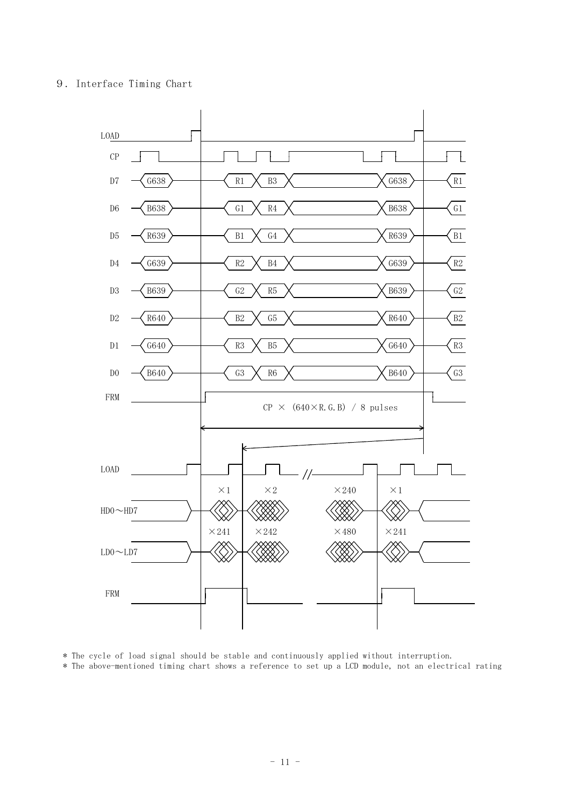## 9. Interface Timing Chart



\* The cycle of load signal should be stable and continuously applied without interruption. \* The above-mentioned timing chart shows a reference to set up a LCD module, not an electrical rating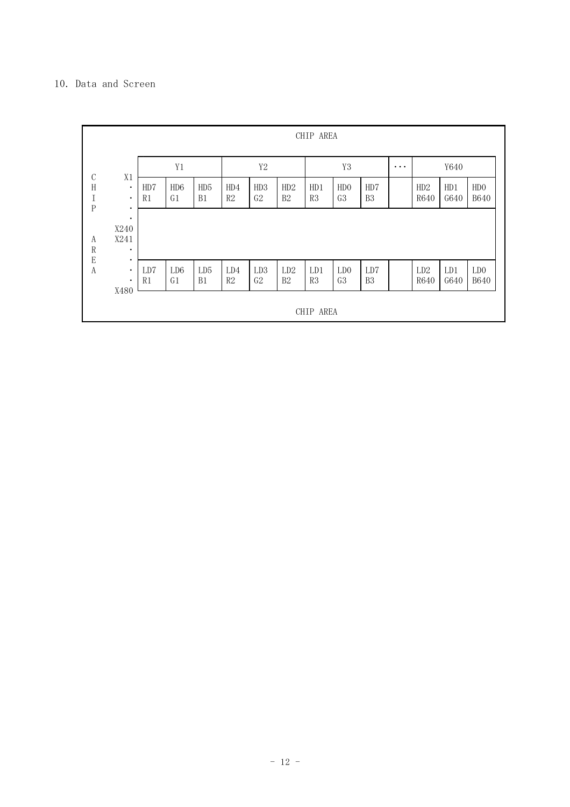## 10. Data and Screen

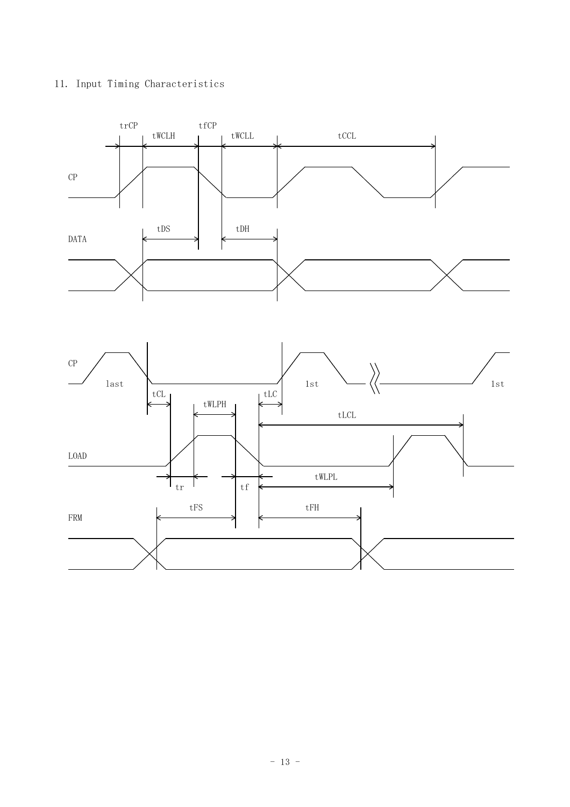## 11. Input Timing Characteristics



- 13 -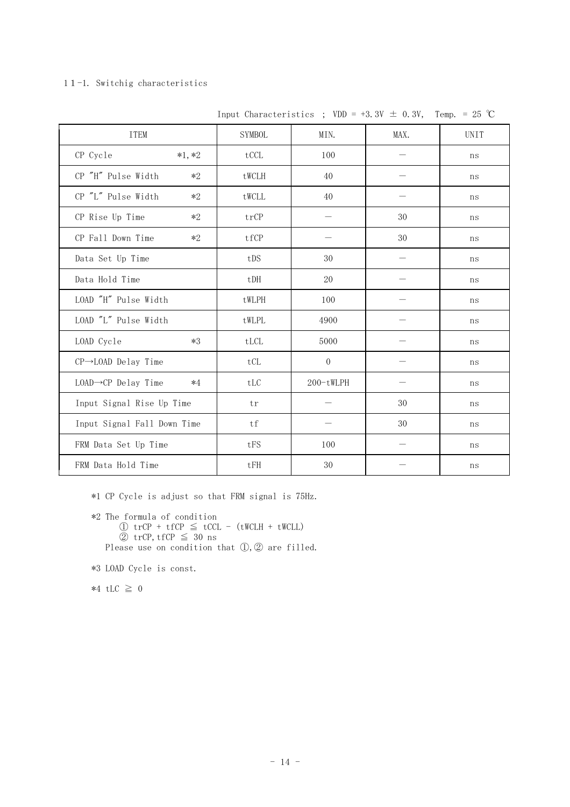#### 11-1. Switchig characteristics

| <b>ITEM</b>                              | <b>SYMBOL</b>               | MIN.      | MAX. | <b>UNIT</b> |
|------------------------------------------|-----------------------------|-----------|------|-------------|
| CP Cycle<br>$*1, *2$                     | tCCL                        | 100       |      | ns          |
| CP "H" Pulse Width<br>$*2$               | tWCLH                       | 40        |      | ns          |
| CP "L" Pulse Width<br>$*2$               | tWCLL                       | 40        |      | ns          |
| CP Rise Up Time<br>$*2$                  | trCP                        |           | 30   | ns          |
| CP Fall Down Time<br>$*2$                | tfCP                        |           | 30   | ns          |
| Data Set Up Time                         | tDS                         | 30        |      | ns          |
| Data Hold Time                           | tDH                         | 20        |      | ns          |
| LOAD "H" Pulse Width                     | tWLPH                       | 100       |      | ns          |
| LOAD "L" Pulse Width                     | tWLPL                       | 4900      |      | ns          |
| LOAD Cycle<br>$*3$                       | tLCL                        | 5000      |      | ns          |
| CP→LOAD Delay Time                       | tCL                         | $\Omega$  |      | ns          |
| $LOAD \rightarrow CP$ Delay Time<br>$*4$ | $\ensuremath{\mathrm{tLC}}$ | 200-tWLPH |      | ns          |
| Input Signal Rise Up Time                | tr                          |           | 30   | ns          |
| Input Signal Fall Down Time              | tf                          |           | 30   | ns          |
| FRM Data Set Up Time                     | tFS                         | 100       |      | ns          |
| FRM Data Hold Time                       | tFH                         | 30        |      | ns          |

Input Characteristics ; VDD = +3.3V  $\pm$  0.3V, Temp. = 25 °C

\*1 CP Cycle is adjust so that FRM signal is 75Hz.

```
*2 The formula of condition
     \textcircled{1} trCP + tfCP \leq tCCL - (tWCLH + tWCLL)
     ② trCP,tfCP \leq 30 ns
Please use on condition that (1), (2) are filled.
```

```
*3 LOAD Cycle is const.
```
 $*4$  tLC  $\geq 0$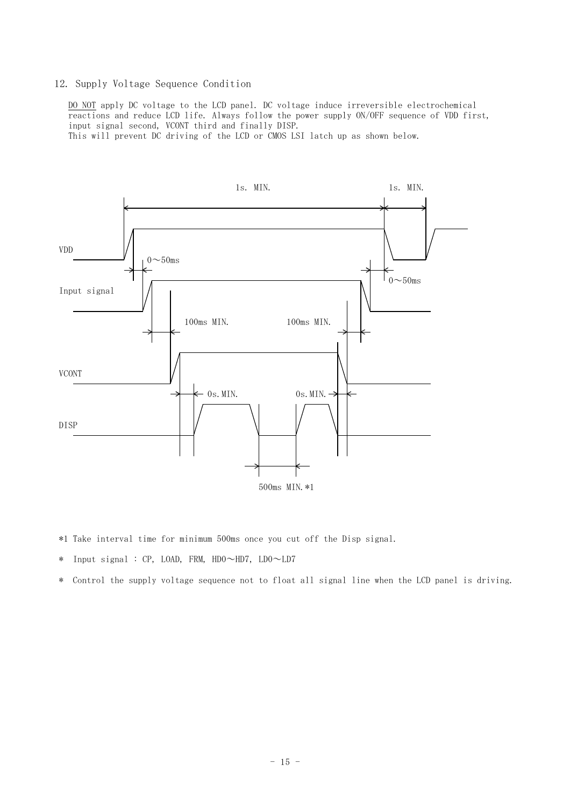#### 12. Supply Voltage Sequence Condition

DO NOT apply DC voltage to the LCD panel. DC voltage induce irreversible electrochemical reactions and reduce LCD life. Always follow the power supply ON/OFF sequence of VDD first, input signal second, VCONT third and finally DISP.

This will prevent DC driving of the LCD or CMOS LSI latch up as shown below.



- \*1 Take interval time for minimum 500ms once you cut off the Disp signal.
- \* Input signal : CP, LOAD, FRM, HDO $\sim$ HD7, LDO $\sim$ LD7
- \* Control the supply voltage sequence not to float all signal line when the LCD panel is driving.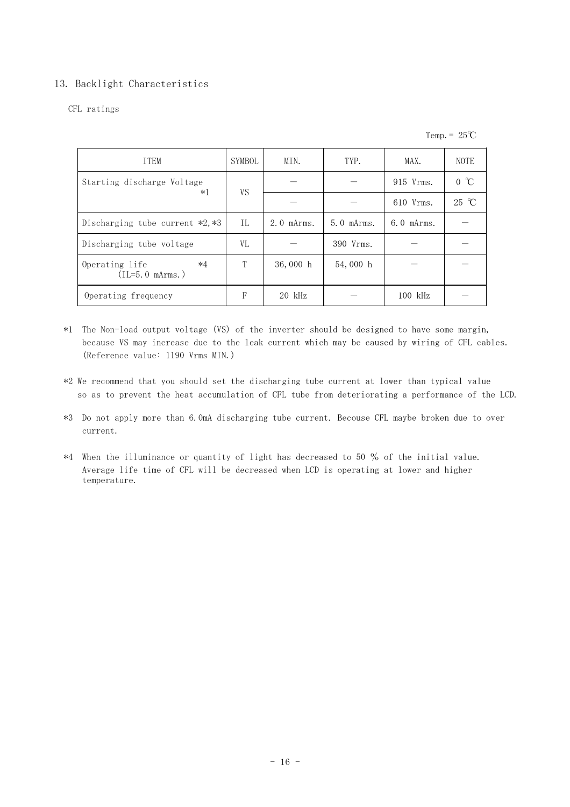## 13. Backlight Characteristics

### CFL ratings

Temp. =  $25^{\circ}C$ 

| <b>TTEM</b>                                 | SYMBOL    | MIN.             | TYP.             | MAX.             | <b>NOTE</b>  |
|---------------------------------------------|-----------|------------------|------------------|------------------|--------------|
| Starting discharge Voltage<br>$*1$          | <b>VS</b> |                  |                  | 915 Vrms.        | $0^{\circ}C$ |
|                                             |           |                  |                  | 610 Vrms.        | 25 °C        |
| Discharging tube current *2,*3              | TL.       | $2.0$ m $Arms$ . | $5.0$ m $Arms$ . | $6.0$ m $Arms$ . |              |
| Discharging tube voltage                    | VL        |                  | 390 Vrms.        |                  |              |
| Operating life<br>$*4$<br>$(IL=5.0$ mArms.) | T         | 36,000 h         | 54,000 h         |                  |              |
| Operating frequency                         | F         | $20$ kHz         |                  | $100$ kHz        |              |

- \*1 The Non-load output voltage (VS) of the inverter should be designed to have some margin, because VS may increase due to the leak current which may be caused by wiring of CFL cables. (Reference value: 1190 Vrms MIN.)
- \*2 We recommend that you should set the discharging tube current at lower than typical value so as to prevent the heat accumulation of CFL tube from deteriorating a performance of the LCD.
- \*3 Do not apply more than 6.0mA discharging tube current. Becouse CFL maybe broken due to over current.
- \*4 When the illuminance or quantity of light has decreased to 50 % of the initial value. Average life time of CFL will be decreased when LCD is operating at lower and higher temperature.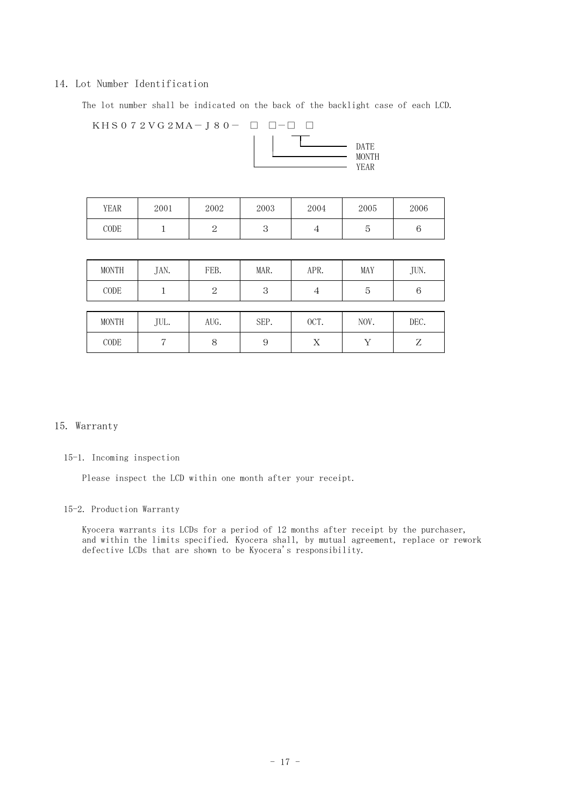#### 14. Lot Number Identification

The lot number shall be indicated on the back of the backlight case of each LCD.

 $KHS 0 7 2 VG 2MA-J 8 0 - \Box \Box - \Box$ 



| YEAR | 2001 | 2002 | 2003 | 2004 | 2005 | 2006 |
|------|------|------|------|------|------|------|
| CODE |      |      |      | ᅩ    | ౿    | ◡    |

| <b>MONTH</b> | JAN. | FEB.           | MAR. | APR.           | MAY        | JUN. |
|--------------|------|----------------|------|----------------|------------|------|
| CODE         |      | $\overline{2}$ | 3    | $\overline{4}$ | 5          | 6    |
|              |      |                |      |                |            |      |
| <b>MONTH</b> | JUL. | AUG.           | SEP. | OCT.           | NOV.       | DEC. |
| CODE         |      | 8              | 9    | Χ              | <b>T</b> 7 | Z    |

#### 15. Warranty

#### 15-1. Incoming inspection

Please inspect the LCD within one month after your receipt.

### 15-2. Production Warranty

Kyocera warrants its LCDs for a period of 12 months after receipt by the purchaser, and within the limits specified. Kyocera shall, by mutual agreement, replace or rework defective LCDs that are shown to be Kyocera's responsibility.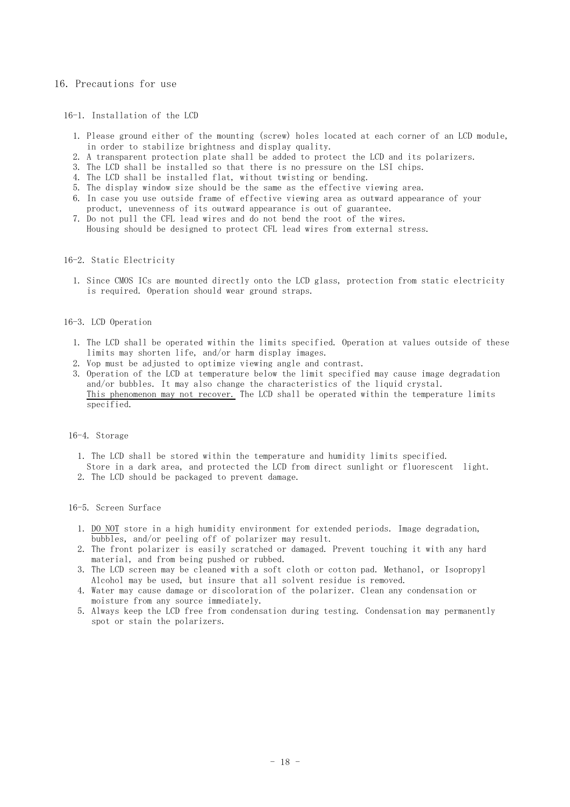#### 16. Precautions for use

#### 16-1. Installation of the LCD

- 1. Please ground either of the mounting (screw) holes located at each corner of an LCD module, in order to stabilize brightness and display quality.
- 2. A transparent protection plate shall be added to protect the LCD and its polarizers.
- 3. The LCD shall be installed so that there is no pressure on the LSI chips.
- 4. The LCD shall be installed flat, without twisting or bending.
- 5. The display window size should be the same as the effective viewing area.
- 6. In case you use outside frame of effective viewing area as outward appearance of your
- product, unevenness of its outward appearance is out of guarantee. 7. Do not pull the CFL lead wires and do not bend the root of the wires.
	- Housing should be designed to protect CFL lead wires from external stress.

#### 16-2. Static Electricity

1. Since CMOS ICs are mounted directly onto the LCD glass, protection from static electricity is required. Operation should wear ground straps.

#### 16-3. LCD Operation

- 1. The LCD shall be operated within the limits specified. Operation at values outside of these limits may shorten life, and/or harm display images.
- 2. Vop must be adjusted to optimize viewing angle and contrast.
- 3. Operation of the LCD at temperature below the limit specified may cause image degradation and/or bubbles. It may also change the characteristics of the liquid crystal. This phenomenon may not recover. The LCD shall be operated within the temperature limits specified.

#### 16-4. Storage

- 1. The LCD shall be stored within the temperature and humidity limits specified.
- Store in a dark area, and protected the LCD from direct sunlight or fluorescent light.
- 2. The LCD should be packaged to prevent damage.

#### 16-5. Screen Surface

- 1. DO NOT store in a high humidity environment for extended periods. Image degradation, bubbles, and/or peeling off of polarizer may result.
- 2. The front polarizer is easily scratched or damaged. Prevent touching it with any hard material, and from being pushed or rubbed.
- 3. The LCD screen may be cleaned with a soft cloth or cotton pad. Methanol, or Isopropyl Alcohol may be used, but insure that all solvent residue is removed.
- 4. Water may cause damage or discoloration of the polarizer. Clean any condensation or moisture from any source immediately.
- 5. Always keep the LCD free from condensation during testing. Condensation may permanently spot or stain the polarizers.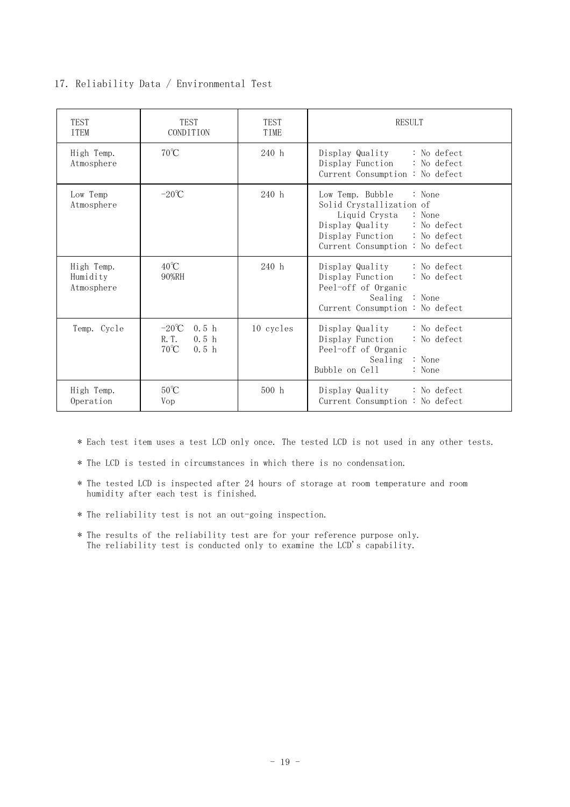## 17. Reliability Data / Environmental Test

| <b>TEST</b><br><b>TTEM</b>           | TEST<br><b>CONDITION</b>                                                                               | TEST<br>TIME | <b>RESULT</b>                                                                                                                                                                 |
|--------------------------------------|--------------------------------------------------------------------------------------------------------|--------------|-------------------------------------------------------------------------------------------------------------------------------------------------------------------------------|
| High Temp.<br>Atmosphere             | $70^{\circ}$ C                                                                                         | 240 h        | Display Quality : No defect<br>Display Function : No defect<br>Current Consumption : No defect                                                                                |
| Low Temp<br>Atmosphere               | $-20^{\circ}$ C                                                                                        | 240 h        | Low Temp. Bubble : None<br>Solid Crystallization of<br>Liquid Crysta : None<br>Display Quality : No defect<br>Display Function : No defect<br>Current Consumption : No defect |
| High Temp.<br>Humidity<br>Atmosphere | $40^{\circ}$ C<br>90%RH                                                                                | 240 h        | Display Quality : No defect<br>Display Function : No defect<br>Peel-off of Organic<br>Sealing : None<br>Current Consumption : No defect                                       |
| Temp. Cycle                          | $-20^{\circ}$ C<br>0.5 <sub>h</sub><br>R. T.<br>0.5 <sub>h</sub><br>$70^{\circ}$ C<br>0.5 <sub>h</sub> | 10 cycles    | Display Quality : No defect<br>Display Function<br>: No defect<br>Peel-off of Organic<br>Sealing : None<br>Bubble on Cell<br>: None                                           |
| High Temp.<br>Operation              | $50^{\circ}$ C<br>Vop                                                                                  | 500 h        | Display Quality : No defect<br>Current Consumption : No defect                                                                                                                |

\* Each test item uses a test LCD only once. The tested LCD is not used in any other tests.

\* The LCD is tested in circumstances in which there is no condensation.

- \* The tested LCD is inspected after 24 hours of storage at room temperature and room humidity after each test is finished.
- \* The reliability test is not an out-going inspection.
- \* The results of the reliability test are for your reference purpose only. The reliability test is conducted only to examine the LCD's capability.